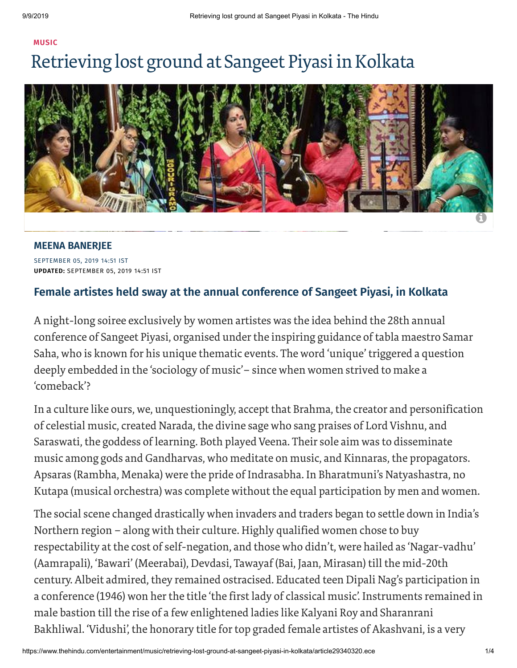## **[MUSIC](https://www.thehindu.com/entertainment/music/)** Retrieving lost ground at Sangeet Piyasi in Kolkata



SEPTEMBER 05, 2019 14:51 IST **UPDATED:** SEPTEMBER 05, 2019 14:51 IST **MEENA [BANERJEE](https://www.thehindu.com/profile/author/MEENA-BANERJEE-3343/)**

## **Female artistes held sway at the annual conference of Sangeet Piyasi, in Kolkata**

A night-long soiree exclusively by women artistes was the idea behind the 28th annual conference of Sangeet Piyasi, organised underthe inspiring guidance of tabla maestro Samar Saha, who is known for his unique thematic events. The word 'unique' triggered a question deeply embedded in the 'sociology of music'– since when women strived to make a 'comeback'?

In a culture like ours, we, unquestioningly, accept that Brahma, the creator and personification of celestial music, created Narada, the divine sage who sang praises of Lord Vishnu, and Saraswati, the goddess of learning. Both played Veena. Their sole aim was to disseminate music among gods and Gandharvas, who meditate on music, and Kinnaras, the propagators. Apsaras (Rambha, Menaka) were the pride of Indrasabha. In Bharatmuni's Natyashastra, no Kutapa (musical orchestra) was complete without the equal participation by men and women.

The social scene changed drastically when invaders and traders began to settle down in India's Northern region – along with their culture. Highly qualified women chose to buy respectability at the cost of self-negation, and those who didn't, were hailed as 'Nagar-vadhu' (Aamrapali), 'Bawari' (Meerabai), Devdasi, Tawayaf (Bai, Jaan, Mirasan) till the mid-20th century. Albeit admired, they remained ostracised. Educated teen Dipali Nag's participation in a conference (1946) won her the title 'the first lady of classical music'. Instruments remained in male bastion till the rise of a few enlightened ladies like Kalyani Roy and Sharanrani Bakhliwal. 'Vidushi', the honorary title fortop graded female artistes of Akashvani, is a very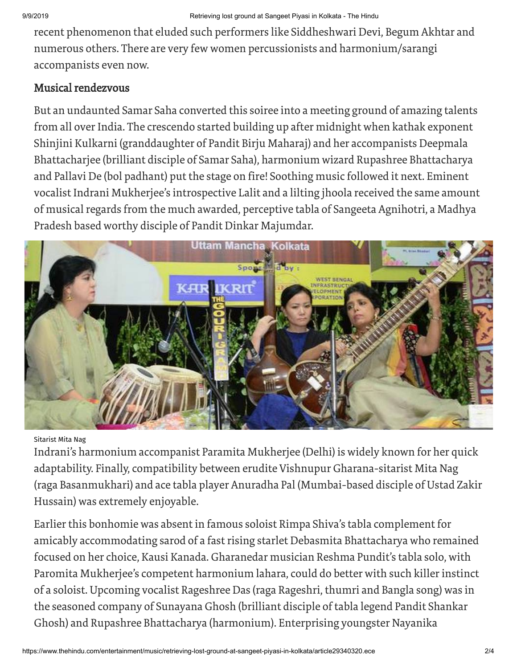recent phenomenon that eluded such performers like Siddheshwari Devi, Begum Akhtar and numerous others. There are very few women percussionists and harmonium/sarangi accompanists even now.

## Musical rendezvous

But an undaunted Samar Saha converted this soiree into a meeting ground of amazing talents from all over India. The crescendo started building up after midnight when kathak exponent Shinjini Kulkarni (granddaughter of Pandit Birju Maharaj) and her accompanists Deepmala Bhattacharjee (brilliant disciple of Samar Saha), harmonium wizard Rupashree Bhattacharya and Pallavi De (bol padhant) put the stage on fire! Soothing music followed it next. Eminent vocalist Indrani Mukherjee's introspective Lalit and a lilting jhoola received the same amount of musical regards from the much awarded, perceptive tabla of Sangeeta Agnihotri, a Madhya Pradesh based worthy disciple of Pandit Dinkar Majumdar.



## Sitarist Mita Nag

Indrani's harmonium accompanist Paramita Mukherjee (Delhi) is widely known for her quick adaptability. Finally, compatibility between erudite Vishnupur Gharana-sitarist Mita Nag (raga Basanmukhari) and ace tabla player Anuradha Pal (Mumbai-based disciple of Ustad Zakir Hussain) was extremely enjoyable.

Earlier this bonhomie was absent in famous soloist Rimpa Shiva's tabla complement for amicably accommodating sarod of a fast rising starlet Debasmita Bhattacharya who remained focused on her choice, Kausi Kanada. Gharanedar musician Reshma Pundit's tabla solo, with Paromita Mukherjee's competent harmonium lahara, could do better with such killer instinct of a soloist. Upcoming vocalist Rageshree Das (raga Rageshri, thumri and Bangla song) was in the seasoned company of Sunayana Ghosh (brilliant disciple of tabla legend Pandit Shankar Ghosh) and Rupashree Bhattacharya (harmonium). Enterprising youngster Nayanika